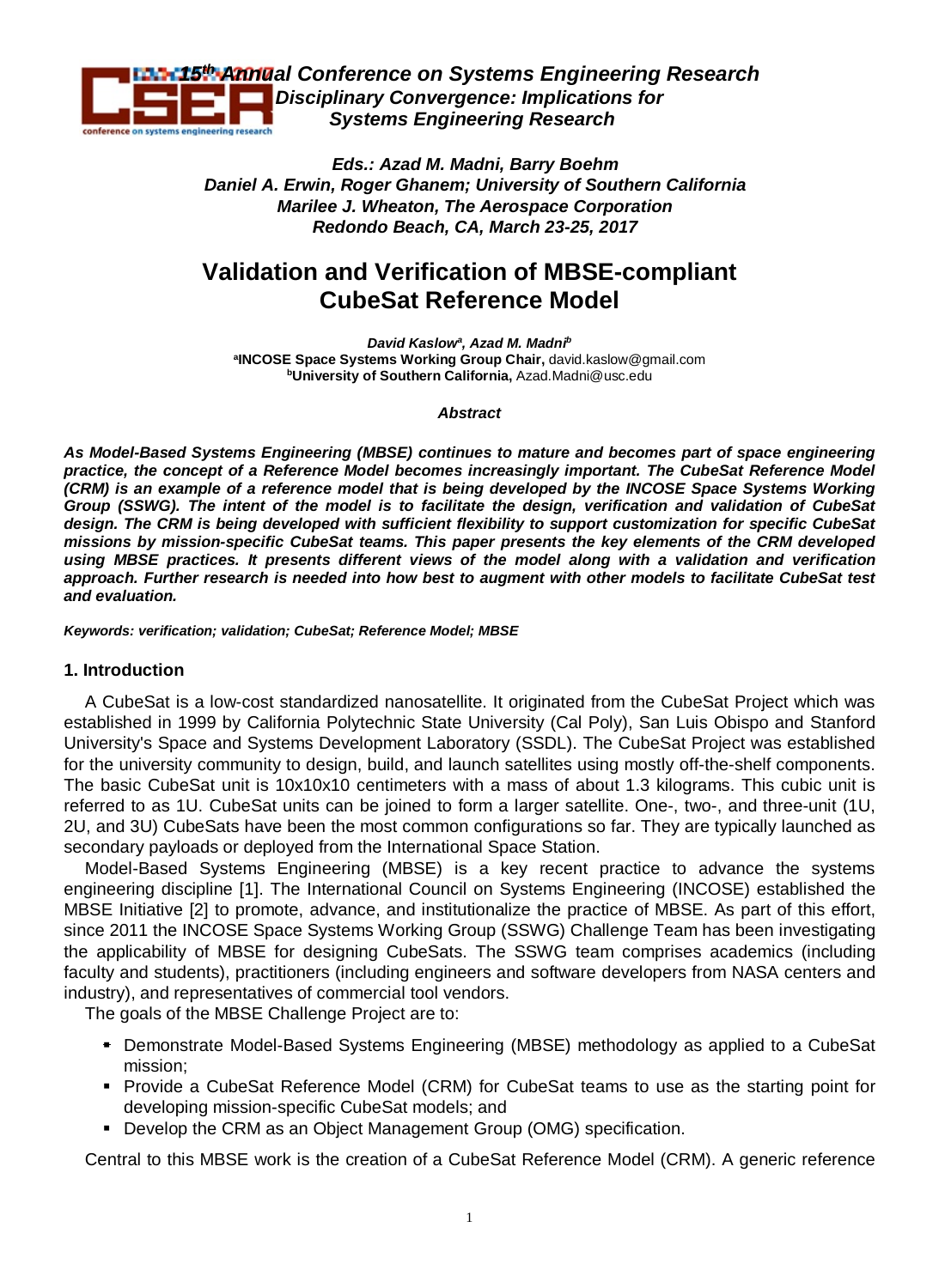

*15th Annual Conference on Systems Engineering Research Disciplinary Convergence: Implications for Systems Engineering Research*

*Eds.: Azad M. Madni, Barry Boehm Daniel A. Erwin, Roger Ghanem; University of Southern California Marilee J. Wheaton, The Aerospace Corporation Redondo Beach, CA, March 23-25, 2017*

# **Validation and Verification of MBSE-compliant CubeSat Reference Model**

*David Kaslow<sup>a</sup> , Azad M. Madnib* **aINCOSE Space Systems Working Group Chair,** david.kaslow@gmail.com **bUniversity of Southern California,** [Azad.Madni@usc.edu](mailto:Azad.Madni@usc.edu)

#### *Abstract*

*As Model-Based Systems Engineering (MBSE) continues to mature and becomes part of space engineering practice, the concept of a Reference Model becomes increasingly important. The CubeSat Reference Model (CRM) is an example of a reference model that is being developed by the INCOSE Space Systems Working Group (SSWG). The intent of the model is to facilitate the design, verification and validation of CubeSat design. The CRM is being developed with sufficient flexibility to support customization for specific CubeSat missions by mission-specific CubeSat teams. This paper presents the key elements of the CRM developed using MBSE practices. It presents different views of the model along with a validation and verification approach. Further research is needed into how best to augment with other models to facilitate CubeSat test and evaluation.*

*Keywords: verification; validation; CubeSat; Reference Model; MBSE*

## **1. Introduction**

A CubeSat is a low-cost standardized nanosatellite. It originated from the CubeSat Project which was established in 1999 by California Polytechnic State University (Cal Poly), San Luis Obispo and Stanford University's Space and Systems Development Laboratory (SSDL). The CubeSat Project was established for the university community to design, build, and launch satellites using mostly off-the-shelf components. The basic CubeSat unit is 10x10x10 centimeters with a mass of about 1.3 kilograms. This cubic unit is referred to as 1U. CubeSat units can be joined to form a larger satellite. One-, two-, and three-unit (1U, 2U, and 3U) CubeSats have been the most common configurations so far. They are typically launched as secondary payloads or deployed from the International Space Station.

Model-Based Systems Engineering (MBSE) is a key recent practice to advance the systems engineering discipline [1]. The International Council on Systems Engineering (INCOSE) established the MBSE Initiative [2] to promote, advance, and institutionalize the practice of MBSE. As part of this effort, since 2011 the INCOSE Space Systems Working Group (SSWG) Challenge Team has been investigating the applicability of MBSE for designing CubeSats. The SSWG team comprises academics (including faculty and students), practitioners (including engineers and software developers from NASA centers and industry), and representatives of commercial tool vendors.

The goals of the MBSE Challenge Project are to:

- Demonstrate Model-Based Systems Engineering (MBSE) methodology as applied to a CubeSat mission;
- Provide a CubeSat Reference Model (CRM) for CubeSat teams to use as the starting point for developing mission-specific CubeSat models; and
- Develop the CRM as an Object Management Group (OMG) specification.

Central to this MBSE work is the creation of a CubeSat Reference Model (CRM). A generic reference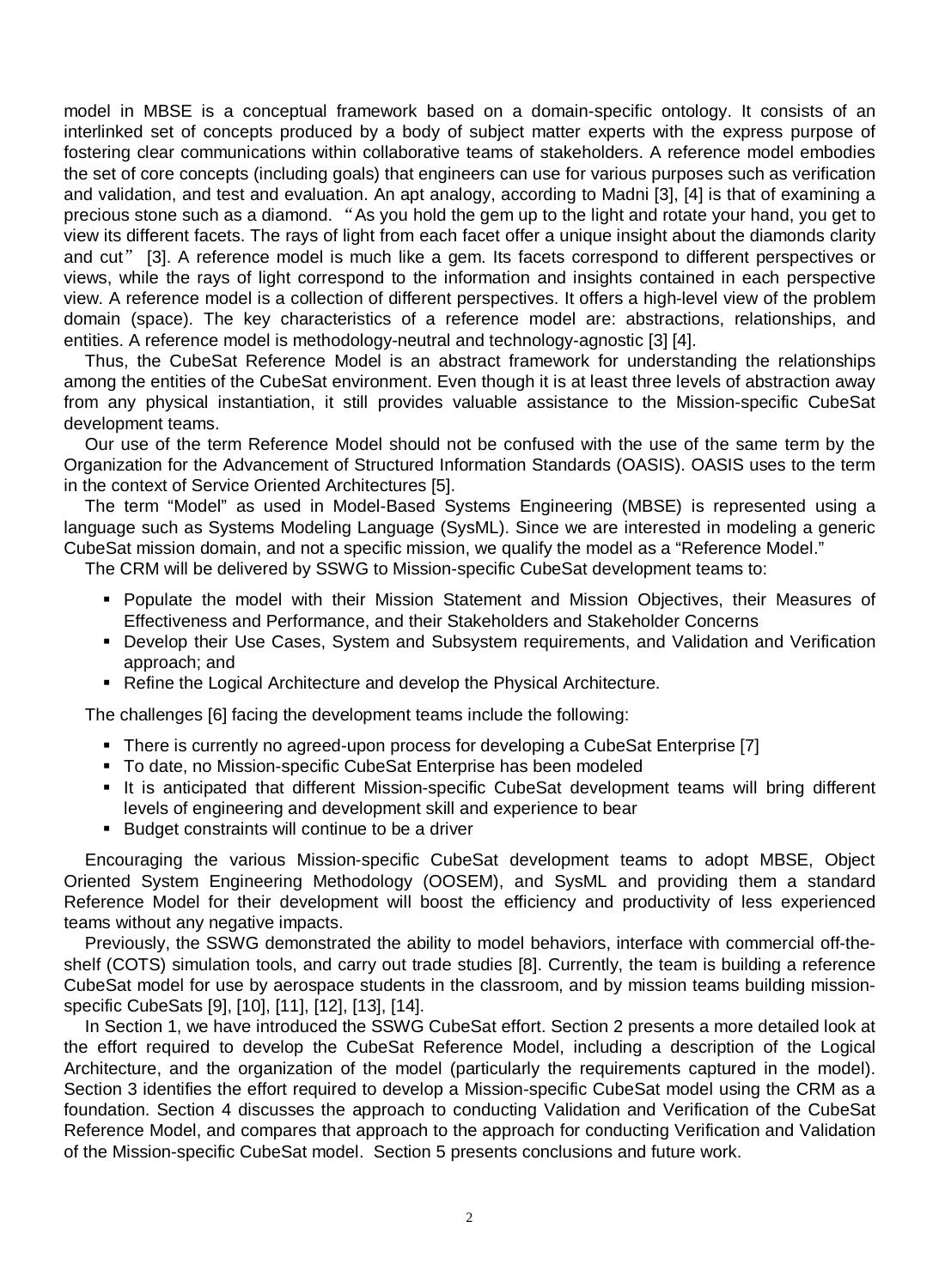model in MBSE is a conceptual framework based on a domain-specific ontology. It consists of an interlinked set of concepts produced by a body of subject matter experts with the express purpose of fostering clear communications within collaborative teams of stakeholders. A reference model embodies the set of core concepts (including goals) that engineers can use for various purposes such as verification and validation, and test and evaluation. An apt analogy, according to Madni [3], [4] is that of examining a precious stone such as a diamond. "As you hold the gem up to the light and rotate your hand, you get to view its different facets. The rays of light from each facet offer a unique insight about the diamonds clarity and cut" [3]. A reference model is much like a gem. Its facets correspond to different perspectives or views, while the rays of light correspond to the information and insights contained in each perspective view. A reference model is a collection of different perspectives. It offers a high-level view of the problem domain (space). The key characteristics of a reference model are: abstractions, relationships, and entities. A reference model is methodology-neutral and technology-agnostic [3] [4].

Thus, the CubeSat Reference Model is an abstract framework for understanding the relationships among the entities of the CubeSat environment. Even though it is at least three levels of abstraction away from any physical instantiation, it still provides valuable assistance to the Mission-specific CubeSat development teams.

Our use of the term Reference Model should not be confused with the use of the same term by the Organization for the Advancement of Structured Information Standards (OASIS). OASIS uses to the term in the context of Service Oriented Architectures [5].

The term "Model" as used in Model-Based Systems Engineering (MBSE) is represented using a language such as Systems Modeling Language (SysML). Since we are interested in modeling a generic CubeSat mission domain, and not a specific mission, we qualify the model as a "Reference Model."

The CRM will be delivered by SSWG to Mission-specific CubeSat development teams to:

- Populate the model with their Mission Statement and Mission Objectives, their Measures of Effectiveness and Performance, and their Stakeholders and Stakeholder Concerns
- Develop their Use Cases, System and Subsystem requirements, and Validation and Verification approach; and
- Refine the Logical Architecture and develop the Physical Architecture.

The challenges [6] facing the development teams include the following:

- There is currently no agreed-upon process for developing a CubeSat Enterprise [7]
- To date, no Mission-specific CubeSat Enterprise has been modeled
- It is anticipated that different Mission-specific CubeSat development teams will bring different levels of engineering and development skill and experience to bear
- **Budget constraints will continue to be a driver**

Encouraging the various Mission-specific CubeSat development teams to adopt MBSE, Object Oriented System Engineering Methodology (OOSEM), and SysML and providing them a standard Reference Model for their development will boost the efficiency and productivity of less experienced teams without any negative impacts.

Previously, the SSWG demonstrated the ability to model behaviors, interface with commercial off-theshelf (COTS) simulation tools, and carry out trade studies [8]. Currently, the team is building a reference CubeSat model for use by aerospace students in the classroom, and by mission teams building missionspecific CubeSats [9], [10], [11], [12], [13], [14].

In Section 1, we have introduced the SSWG CubeSat effort. Section 2 presents a more detailed look at the effort required to develop the CubeSat Reference Model, including a description of the Logical Architecture, and the organization of the model (particularly the requirements captured in the model). Section 3 identifies the effort required to develop a Mission-specific CubeSat model using the CRM as a foundation. Section 4 discusses the approach to conducting Validation and Verification of the CubeSat Reference Model, and compares that approach to the approach for conducting Verification and Validation of the Mission-specific CubeSat model. Section 5 presents conclusions and future work.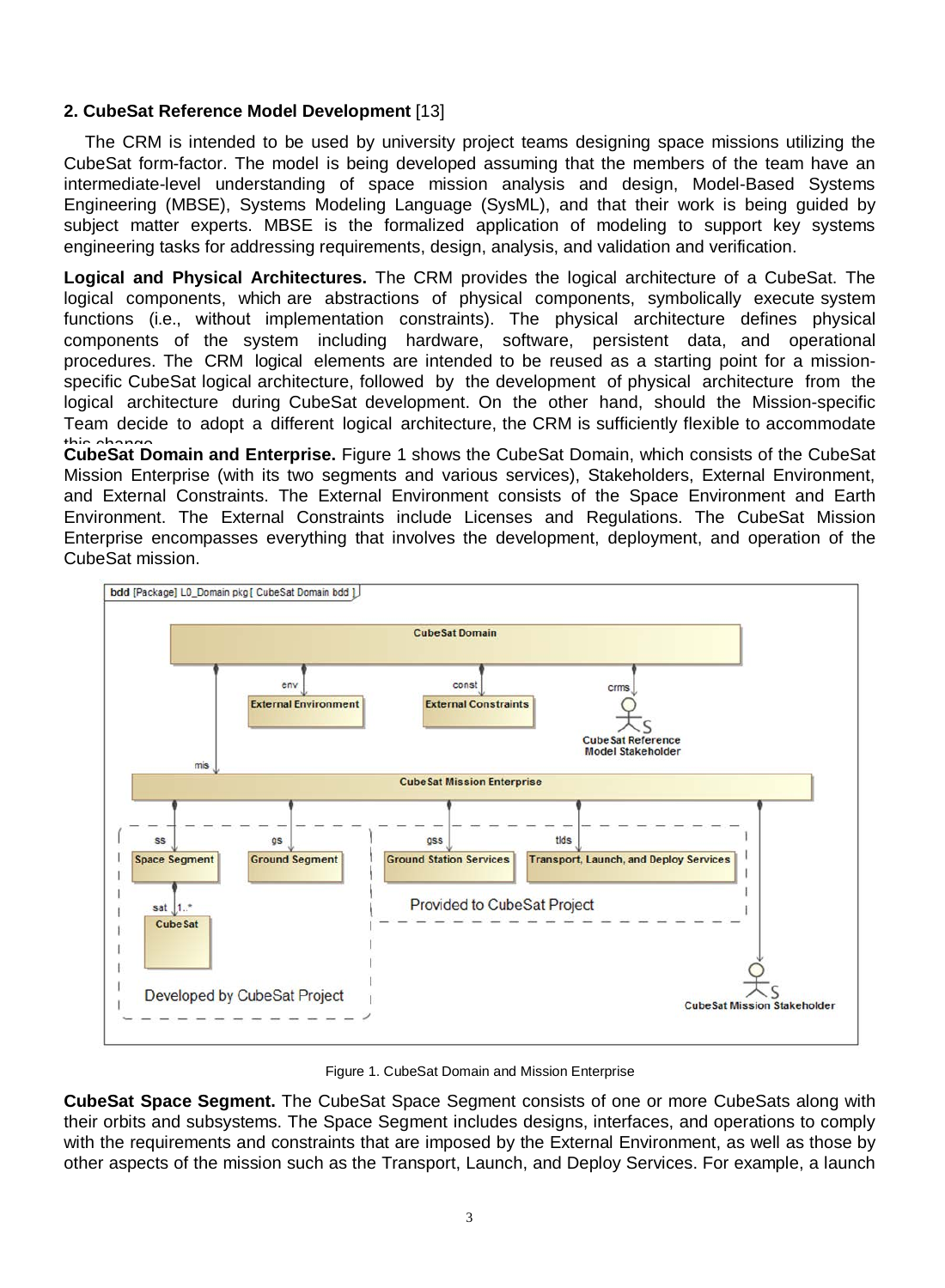# **2. CubeSat Reference Model Development** [13]

The CRM is intended to be used by university project teams designing space missions utilizing the CubeSat form-factor. The model is being developed assuming that the members of the team have an intermediate-level understanding of space mission analysis and design, Model-Based Systems Engineering (MBSE), Systems Modeling Language (SysML), and that their work is being guided by subject matter experts. MBSE is the formalized application of modeling to support key systems engineering tasks for addressing requirements, design, analysis, and validation and verification.

**Logical and Physical Architectures.** The CRM provides the logical architecture of a CubeSat. The logical components, which are abstractions of physical components, symbolically execute system functions (i.e., without implementation constraints). The physical architecture defines physical components of the system including hardware, software, persistent data, and operational procedures. The CRM logical elements are intended to be reused as a starting point for a missionspecific CubeSat logical architecture, followed by the development of physical architecture from the logical architecture during CubeSat development. On the other hand, should the Mission-specific Team decide to adopt a different logical architecture, the CRM is sufficiently flexible to accommodate

**CubeSat Domain and Enterprise.** Figure 1 shows the CubeSat Domain, which consists of the CubeSat Mission Enterprise (with its two segments and various services), Stakeholders, External Environment, and External Constraints. The External Environment consists of the Space Environment and Earth Environment. The External Constraints include Licenses and Regulations. The CubeSat Mission Enterprise encompasses everything that involves the development, deployment, and operation of the CubeSat mission.



Figure 1. CubeSat Domain and Mission Enterprise

**CubeSat Space Segment.** The CubeSat Space Segment consists of one or more CubeSats along with their orbits and subsystems. The Space Segment includes designs, interfaces, and operations to comply with the requirements and constraints that are imposed by the External Environment, as well as those by other aspects of the mission such as the Transport, Launch, and Deploy Services. For example, a launch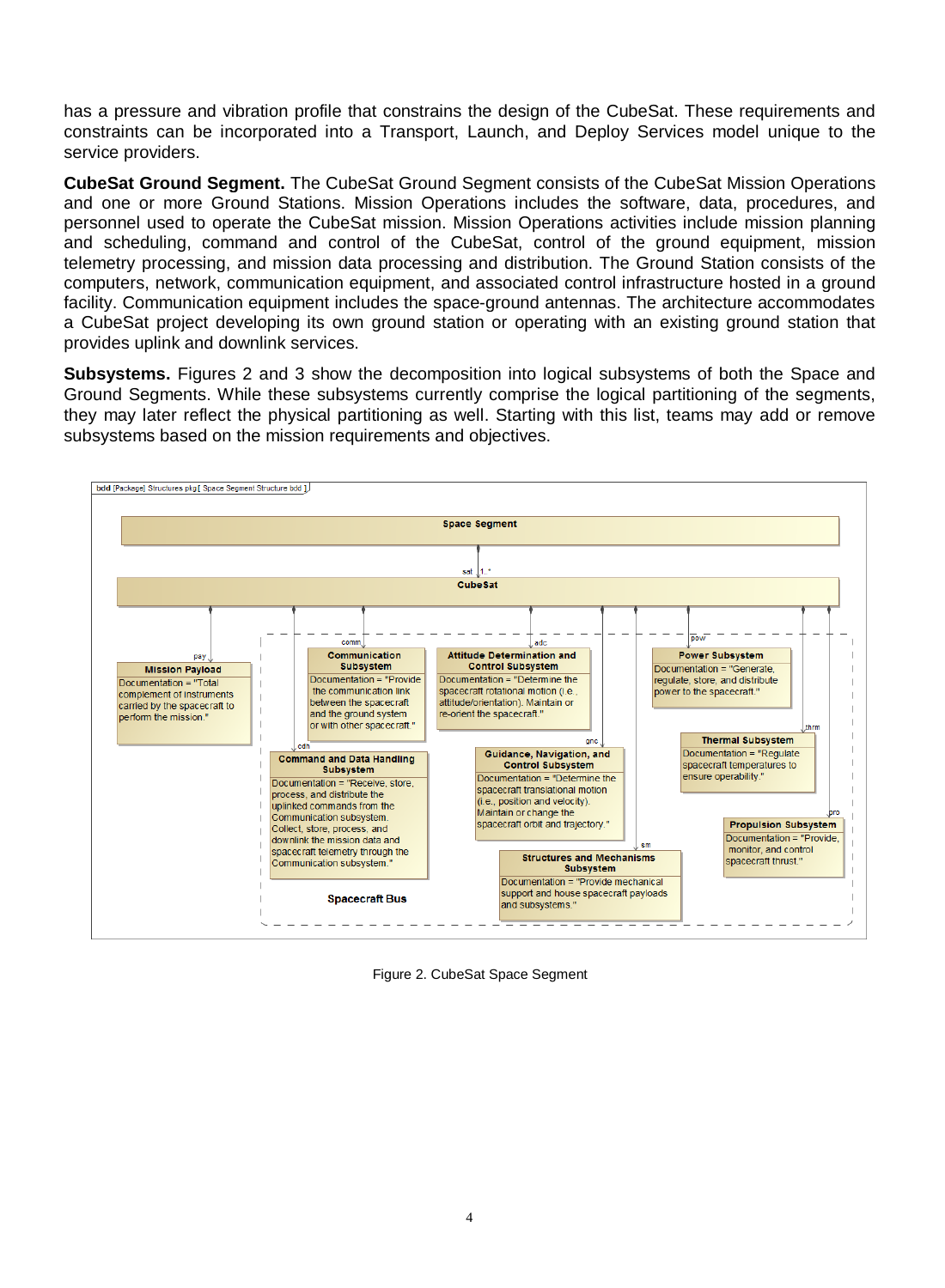has a pressure and vibration profile that constrains the design of the CubeSat. These requirements and constraints can be incorporated into a Transport, Launch, and Deploy Services model unique to the service providers.

**CubeSat Ground Segment.** The CubeSat Ground Segment consists of the CubeSat Mission Operations and one or more Ground Stations. Mission Operations includes the software, data, procedures, and personnel used to operate the CubeSat mission. Mission Operations activities include mission planning and scheduling, command and control of the CubeSat, control of the ground equipment, mission telemetry processing, and mission data processing and distribution. The Ground Station consists of the computers, network, communication equipment, and associated control infrastructure hosted in a ground facility. Communication equipment includes the space-ground antennas. The architecture accommodates a CubeSat project developing its own ground station or operating with an existing ground station that provides uplink and downlink services.

**Subsystems.** Figures 2 and 3 show the decomposition into logical subsystems of both the Space and Ground Segments. While these subsystems currently comprise the logical partitioning of the segments, they may later reflect the physical partitioning as well. Starting with this list, teams may add or remove subsystems based on the mission requirements and objectives.



Figure 2. CubeSat Space Segment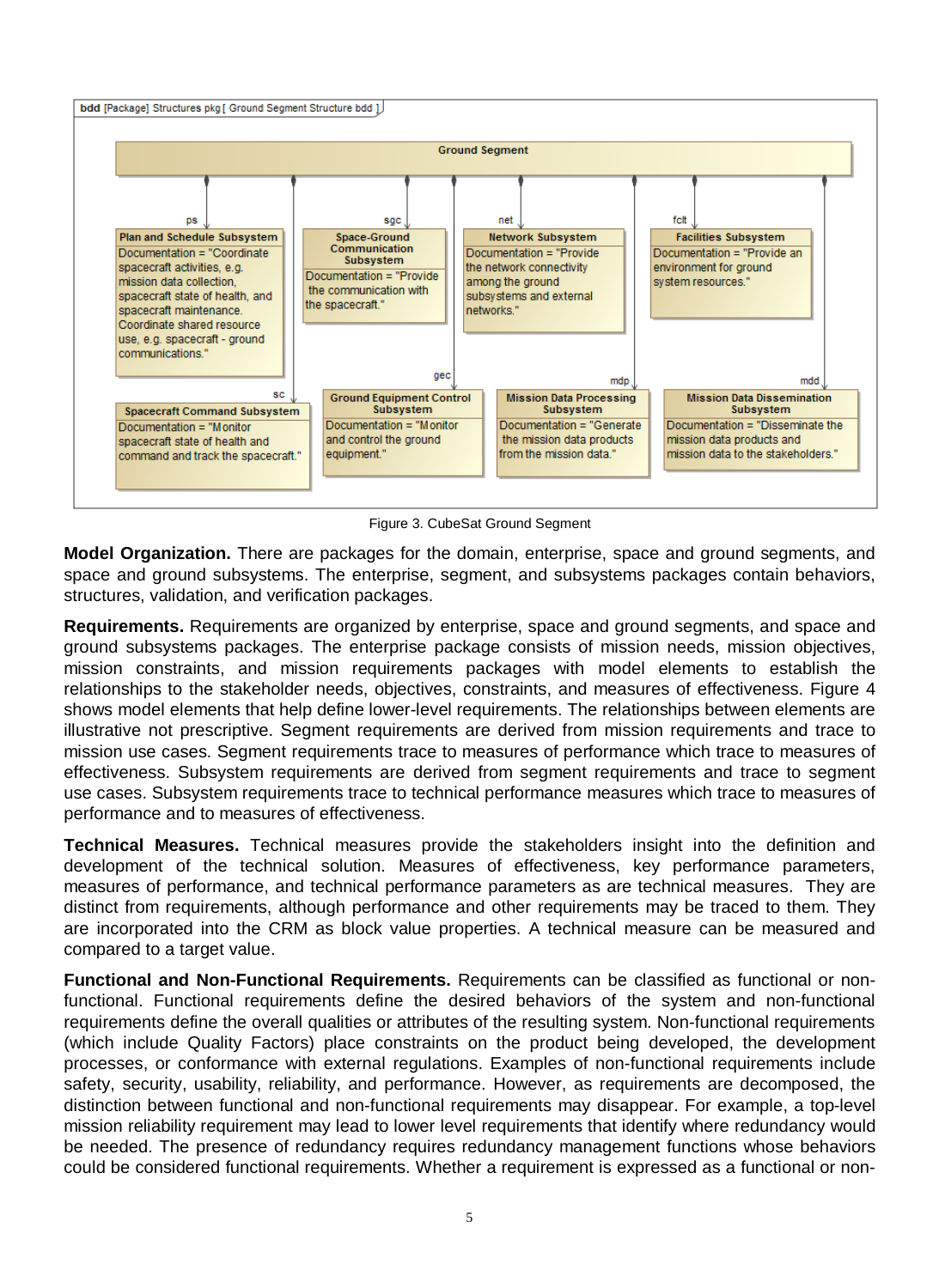

Figure 3. CubeSat Ground Segment

**Model Organization.** There are packages for the domain, enterprise, space and ground segments, and space and ground subsystems. The enterprise, segment, and subsystems packages contain behaviors, structures, validation, and verification packages.

**Requirements.** Requirements are organized by enterprise, space and ground segments, and space and ground subsystems packages. The enterprise package consists of mission needs, mission objectives, mission constraints, and mission requirements packages with model elements to establish the relationships to the stakeholder needs, objectives, constraints, and measures of effectiveness. Figure 4 shows model elements that help define lower-level requirements. The relationships between elements are illustrative not prescriptive. Segment requirements are derived from mission requirements and trace to mission use cases. Segment requirements trace to measures of performance which trace to measures of effectiveness. Subsystem requirements are derived from segment requirements and trace to segment use cases. Subsystem requirements trace to technical performance measures which trace to measures of performance and to measures of effectiveness.

**Technical Measures.** Technical measures provide the stakeholders insight into the definition and development of the technical solution. Measures of effectiveness, key performance parameters, measures of performance, and technical performance parameters as are technical measures. They are distinct from requirements, although performance and other requirements may be traced to them. They are incorporated into the CRM as block value properties. A technical measure can be measured and compared to a target value.

**Functional and Non-Functional Requirements.** Requirements can be classified as functional or nonfunctional. Functional requirements define the desired behaviors of the system and non-functional requirements define the overall qualities or attributes of the resulting system. Non-functional requirements (which include Quality Factors) place constraints on the product being developed, the development processes, or conformance with external regulations. Examples of non-functional requirements include safety, security, usability, reliability, and performance. However, as requirements are decomposed, the distinction between functional and non-functional requirements may disappear. For example, a top-level mission reliability requirement may lead to lower level requirements that identify where redundancy would be needed. The presence of redundancy requires redundancy management functions whose behaviors could be considered functional requirements. Whether a requirement is expressed as a functional or non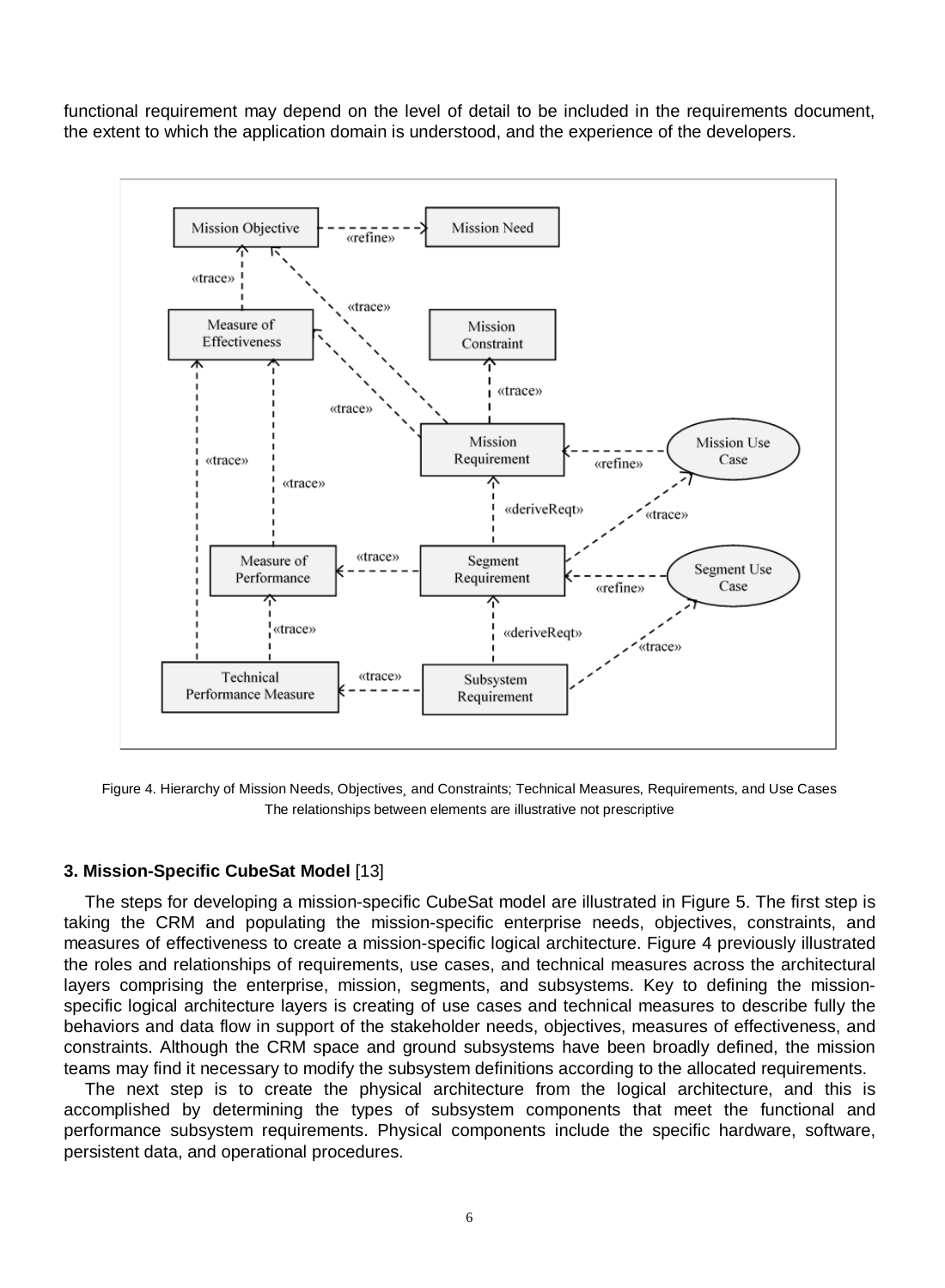functional requirement may depend on the level of detail to be included in the requirements document, the extent to which the application domain is understood, and the experience of the developers.



Figure 4. Hierarchy of Mission Needs, Objectives¸ and Constraints; Technical Measures, Requirements, and Use Cases The relationships between elements are illustrative not prescriptive

#### **3. Mission-Specific CubeSat Model** [13]

The steps for developing a mission-specific CubeSat model are illustrated in Figure 5. The first step is taking the CRM and populating the mission-specific enterprise needs, objectives, constraints, and measures of effectiveness to create a mission-specific logical architecture. Figure 4 previously illustrated the roles and relationships of requirements, use cases, and technical measures across the architectural layers comprising the enterprise, mission, segments, and subsystems. Key to defining the missionspecific logical architecture layers is creating of use cases and technical measures to describe fully the behaviors and data flow in support of the stakeholder needs, objectives, measures of effectiveness, and constraints. Although the CRM space and ground subsystems have been broadly defined, the mission teams may find it necessary to modify the subsystem definitions according to the allocated requirements.

The next step is to create the physical architecture from the logical architecture, and this is accomplished by determining the types of subsystem components that meet the functional and performance subsystem requirements. Physical components include the specific hardware, software, persistent data, and operational procedures.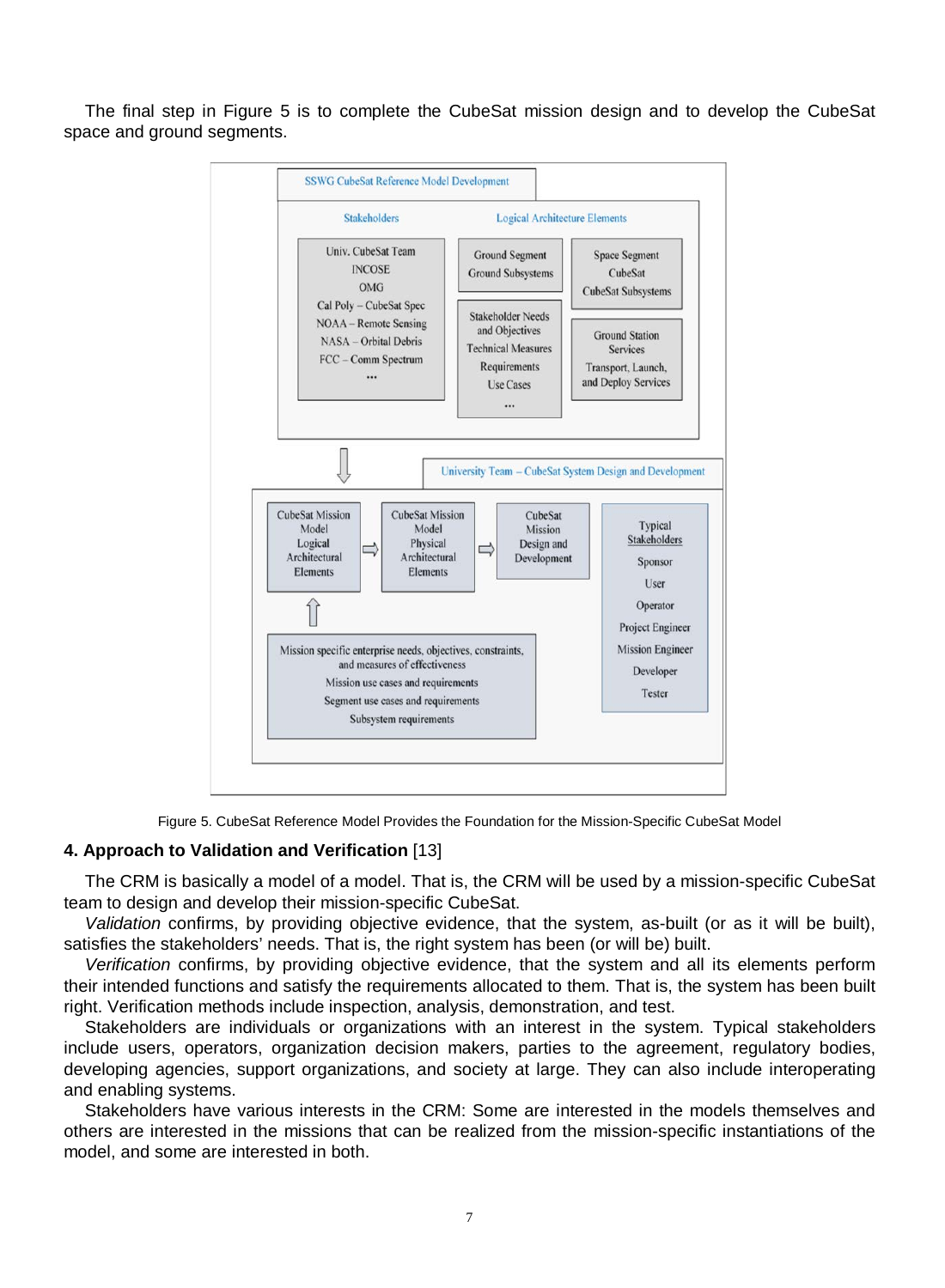The final step in Figure 5 is to complete the CubeSat mission design and to develop the CubeSat space and ground segments.



Figure 5. CubeSat Reference Model Provides the Foundation for the Mission-Specific CubeSat Model

# **4. Approach to Validation and Verification** [13]

The CRM is basically a model of a model. That is, the CRM will be used by a mission-specific CubeSat team to design and develop their mission-specific CubeSat.

*Validation* confirms, by providing objective evidence, that the system, as-built (or as it will be built), satisfies the stakeholders' needs. That is, the right system has been (or will be) built.

*Verification* confirms, by providing objective evidence, that the system and all its elements perform their intended functions and satisfy the requirements allocated to them. That is, the system has been built right. Verification methods include inspection, analysis, demonstration, and test.

Stakeholders are individuals or organizations with an interest in the system. Typical stakeholders include users, operators, organization decision makers, parties to the agreement, regulatory bodies, developing agencies, support organizations, and society at large. They can also include interoperating and enabling systems.

Stakeholders have various interests in the CRM: Some are interested in the models themselves and others are interested in the missions that can be realized from the mission-specific instantiations of the model, and some are interested in both.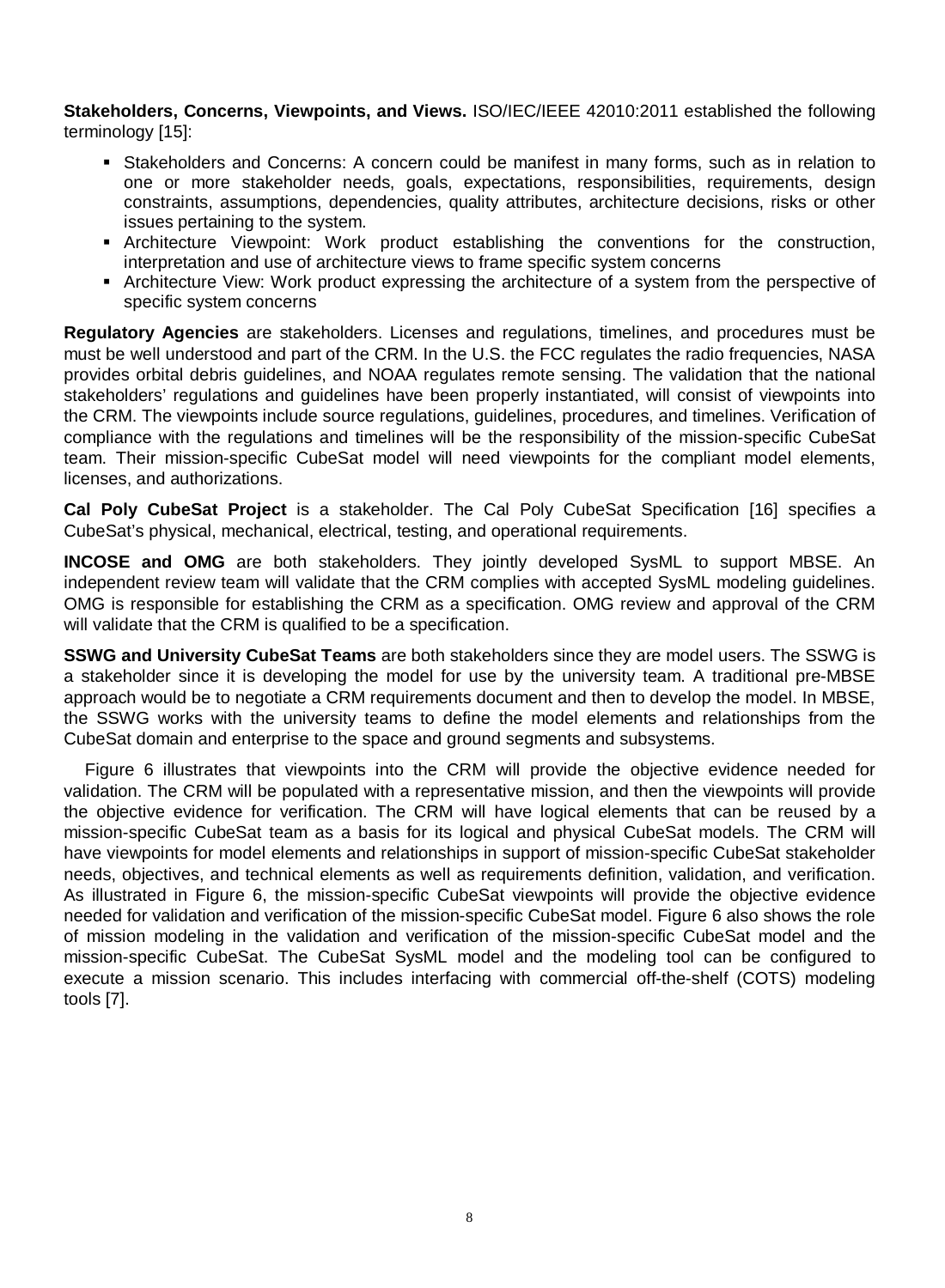**Stakeholders, Concerns, Viewpoints, and Views.** ISO/IEC/IEEE 42010:2011 established the following terminology [15]:

- Stakeholders and Concerns: A concern could be manifest in many forms, such as in relation to one or more stakeholder needs, goals, expectations, responsibilities, requirements, design constraints, assumptions, dependencies, quality attributes, architecture decisions, risks or other issues pertaining to the system.
- Architecture Viewpoint: Work product establishing the conventions for the construction, interpretation and use of architecture views to frame specific system concerns
- Architecture View: Work product expressing the architecture of a system from the perspective of specific system concerns

**Regulatory Agencies** are stakeholders. Licenses and regulations, timelines, and procedures must be must be well understood and part of the CRM. In the U.S. the FCC regulates the radio frequencies, NASA provides orbital debris guidelines, and NOAA regulates remote sensing. The validation that the national stakeholders' regulations and guidelines have been properly instantiated, will consist of viewpoints into the CRM. The viewpoints include source regulations, guidelines, procedures, and timelines. Verification of compliance with the regulations and timelines will be the responsibility of the mission-specific CubeSat team. Their mission-specific CubeSat model will need viewpoints for the compliant model elements, licenses, and authorizations.

**Cal Poly CubeSat Project** is a stakeholder. The Cal Poly CubeSat Specification [16] specifies a CubeSat's physical, mechanical, electrical, testing, and operational requirements.

**INCOSE and OMG** are both stakeholders. They jointly developed SysML to support MBSE. An independent review team will validate that the CRM complies with accepted SysML modeling guidelines. OMG is responsible for establishing the CRM as a specification. OMG review and approval of the CRM will validate that the CRM is qualified to be a specification.

**SSWG and University CubeSat Teams** are both stakeholders since they are model users. The SSWG is a stakeholder since it is developing the model for use by the university team. A traditional pre-MBSE approach would be to negotiate a CRM requirements document and then to develop the model. In MBSE, the SSWG works with the university teams to define the model elements and relationships from the CubeSat domain and enterprise to the space and ground segments and subsystems.

Figure 6 illustrates that viewpoints into the CRM will provide the objective evidence needed for validation. The CRM will be populated with a representative mission, and then the viewpoints will provide the objective evidence for verification. The CRM will have logical elements that can be reused by a mission-specific CubeSat team as a basis for its logical and physical CubeSat models. The CRM will have viewpoints for model elements and relationships in support of mission-specific CubeSat stakeholder needs, objectives, and technical elements as well as requirements definition, validation, and verification. As illustrated in Figure 6, the mission-specific CubeSat viewpoints will provide the objective evidence needed for validation and verification of the mission-specific CubeSat model. Figure 6 also shows the role of mission modeling in the validation and verification of the mission-specific CubeSat model and the mission-specific CubeSat. The CubeSat SysML model and the modeling tool can be configured to execute a mission scenario. This includes interfacing with commercial off-the-shelf (COTS) modeling tools [7].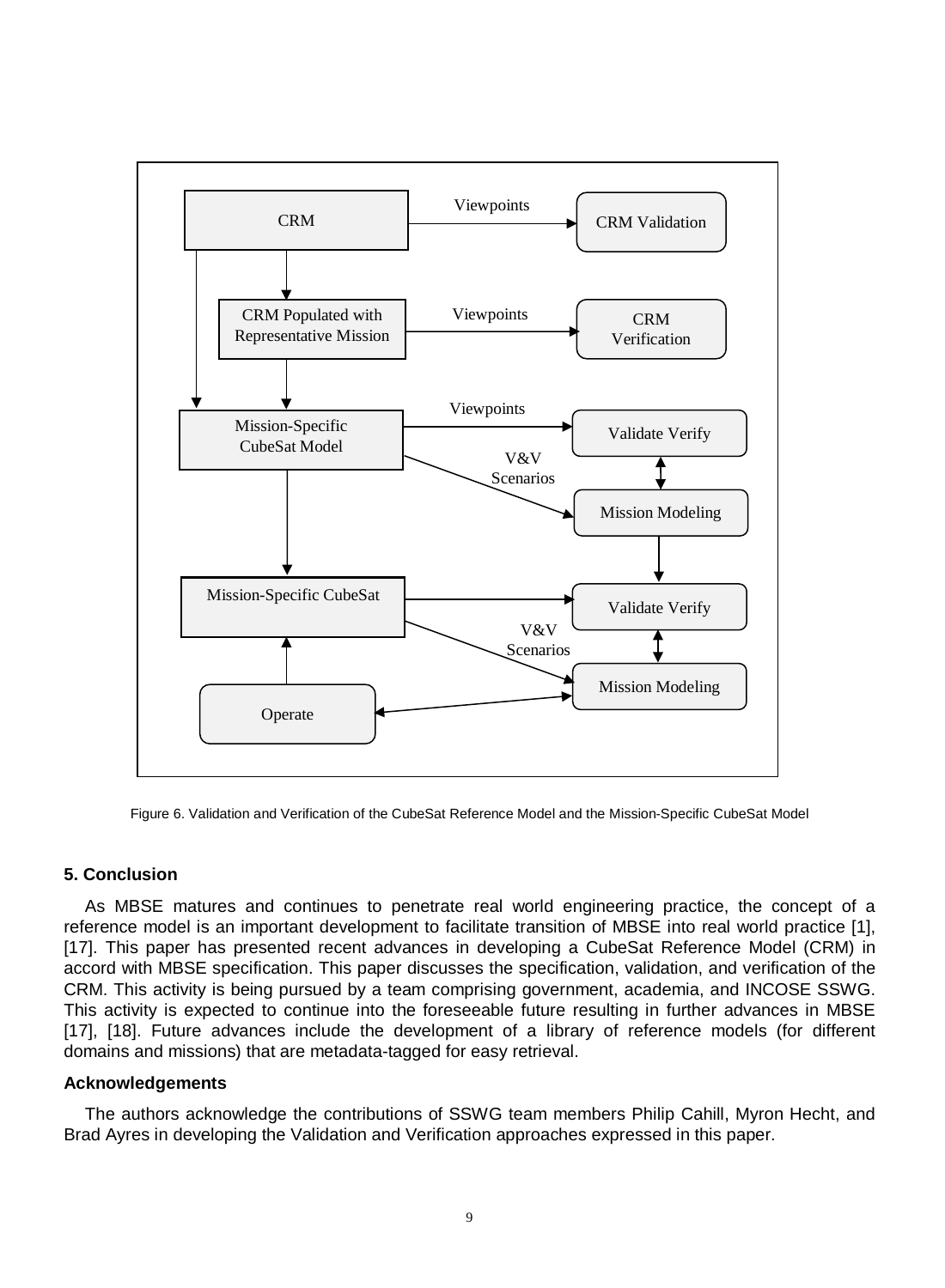

Figure 6. Validation and Verification of the CubeSat Reference Model and the Mission-Specific CubeSat Model

## **5. Conclusion**

As MBSE matures and continues to penetrate real world engineering practice, the concept of a reference model is an important development to facilitate transition of MBSE into real world practice [1], [17]. This paper has presented recent advances in developing a CubeSat Reference Model (CRM) in accord with MBSE specification. This paper discusses the specification, validation, and verification of the CRM. This activity is being pursued by a team comprising government, academia, and INCOSE SSWG. This activity is expected to continue into the foreseeable future resulting in further advances in MBSE [17], [18]. Future advances include the development of a library of reference models (for different domains and missions) that are metadata-tagged for easy retrieval.

#### **Acknowledgements**

The authors acknowledge the contributions of SSWG team members Philip Cahill, Myron Hecht, and Brad Ayres in developing the Validation and Verification approaches expressed in this paper.